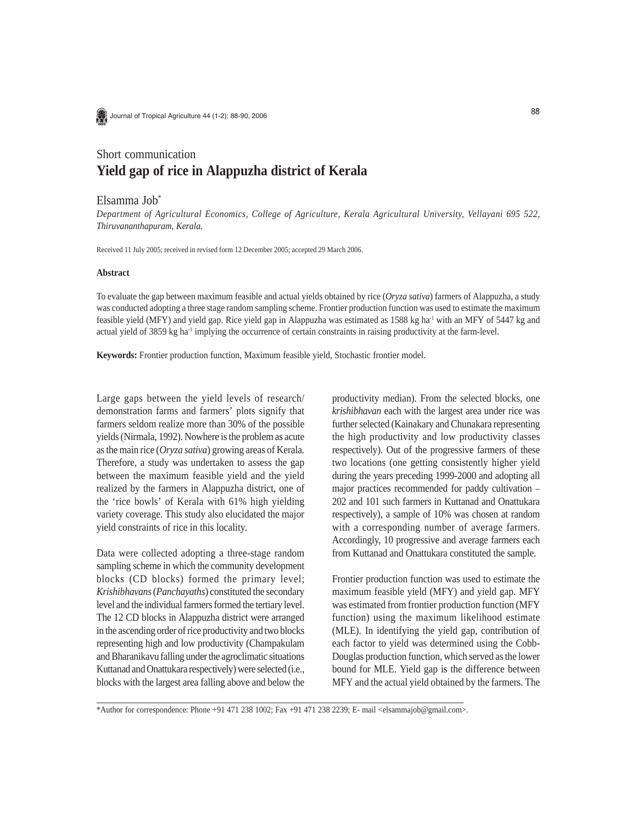Journal of Tropical Agriculture 44 (1-2): 88-90, 2006

# Short communication **Yield gap of rice in Alappuzha district of Kerala**

## Elsamma Job\*

*Department of Agricultural Economics, College of Agriculture, Kerala Agricultural University, Vellayani 695 522, Thiruvananthapuram, Kerala.*

Received 11 July 2005; received in revised form 12 December 2005; accepted 29 March 2006.

#### **Abstract**

To evaluate the gap between maximum feasible and actual yields obtained by rice (*Oryza sativa*) farmers of Alappuzha, a study was conducted adopting a three stage random sampling scheme. Frontier production function was used to estimate the maximum feasible yield (MFY) and yield gap. Rice yield gap in Alappuzha was estimated as 1588 kg ha<sup>-1</sup> with an MFY of 5447 kg and actual yield of 3859 kg ha-1 implying the occurrence of certain constraints in raising productivity at the farm-level.

**Keywords:** Frontier production function, Maximum feasible yield, Stochastic frontier model.

Large gaps between the yield levels of research/ demonstration farms and farmers' plots signify that farmers seldom realize more than 30% of the possible yields (Nirmala, 1992). Nowhere is the problem as acute as the main rice (*Oryza sativa*) growing areas of Kerala. Therefore, a study was undertaken to assess the gap between the maximum feasible yield and the yield realized by the farmers in Alappuzha district, one of the 'rice bowls' of Kerala with 61% high yielding variety coverage. This study also elucidated the major yield constraints of rice in this locality.

Data were collected adopting a three-stage random sampling scheme in which the community development blocks (CD blocks) formed the primary level; *Krishibhavans* (*Panchayaths*) constituted the secondary level and the individual farmers formed the tertiary level. The 12 CD blocks in Alappuzha district were arranged in the ascending order of rice productivity and two blocks representing high and low productivity (Champakulam and Bharanikavu falling under the agroclimatic situations Kuttanad and Onattukara respectively) were selected (i.e., blocks with the largest area falling above and below the productivity median). From the selected blocks, one *krishibhavan* each with the largest area under rice was further selected (Kainakary and Chunakara representing the high productivity and low productivity classes respectively). Out of the progressive farmers of these two locations (one getting consistently higher yield during the years preceding 1999-2000 and adopting all major practices recommended for paddy cultivation – 202 and 101 such farmers in Kuttanad and Onattukara respectively), a sample of 10% was chosen at random with a corresponding number of average farmers. Accordingly, 10 progressive and average farmers each from Kuttanad and Onattukara constituted the sample.

Frontier production function was used to estimate the maximum feasible yield (MFY) and yield gap. MFY was estimated from frontier production function (MFY function) using the maximum likelihood estimate (MLE). In identifying the yield gap, contribution of each factor to yield was determined using the Cobb-Douglas production function, which served as the lower bound for MLE. Yield gap is the difference between MFY and the actual yield obtained by the farmers. The

\*Author for correspondence: Phone +91 471 238 1002; Fax +91 471 238 2239; E- mail <elsammajob@gmail.com>.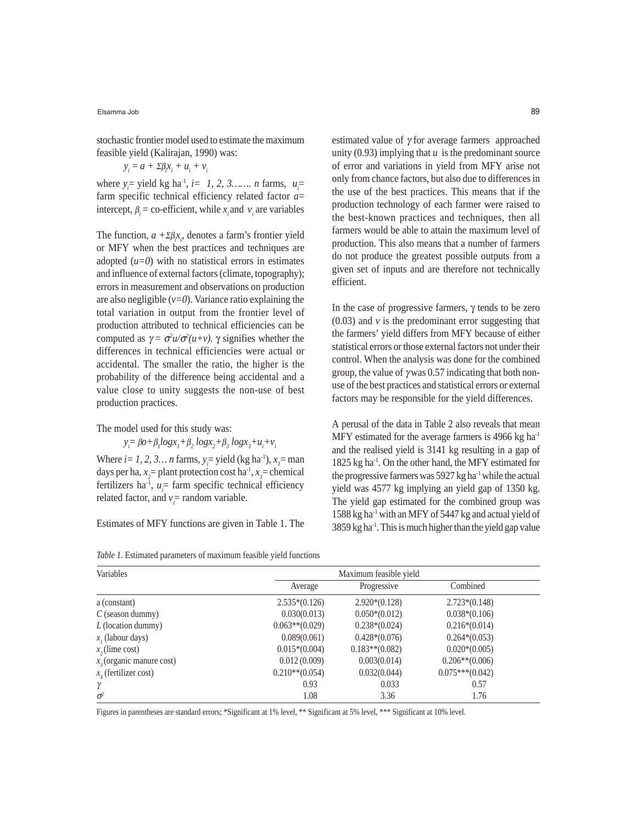Elsamma Job

stochastic frontier model used to estimate the maximum feasible yield (Kalirajan, 1990) was:

$$
y_i = a + \Sigma \beta_i x_i + u_i + v_i
$$

where  $y_i$ = yield kg ha<sup>-1</sup>, *i* = 1, 2, 3....... *n* farms,  $u_i$ = farm specific technical efficiency related factor *a*= intercept,  $\beta_i$  = co-efficient, while  $x_i$  and  $v_i$  are variables

The function, *a +*Σβ*<sup>i</sup> xi* , denotes a farm's frontier yield or MFY when the best practices and techniques are adopted  $(u=0)$  with no statistical errors in estimates and influence of external factors (climate, topography); errors in measurement and observations on production are also negligible  $(v=0)$ . Variance ratio explaining the total variation in output from the frontier level of production attributed to technical efficiencies can be computed as  $\gamma = \sigma^2 u / \sigma^2 (u+v)$ .  $\gamma$  signifies whether the differences in technical efficiencies were actual or accidental. The smaller the ratio, the higher is the probability of the difference being accidental and a value close to unity suggests the non-use of best production practices.

The model used for this study was:

 $y_i = \beta o + \beta_1 log x_1 + \beta_2 log x_2 + \beta_3 log x_3 + u_i + v_i$ 

Where  $i = 1, 2, 3...$  *n* farms,  $y_i =$  yield (kg ha<sup>-1</sup>),  $x_i =$  man days per ha,  $x_2$ = plant protection cost ha<sup>-1</sup>,  $x_3$ = chemical fertilizers ha<sup>-1</sup>,  $u_i$  = farm specific technical efficiency related factor, and  $v_i$  = random variable.

Estimates of MFY functions are given in Table 1. The

unity  $(0.93)$  implying that  $u$  is the predominant source of error and variations in yield from MFY arise not only from chance factors, but also due to differences in the use of the best practices. This means that if the production technology of each farmer were raised to the best-known practices and techniques, then all farmers would be able to attain the maximum level of production. This also means that a number of farmers do not produce the greatest possible outputs from a given set of inputs and are therefore not technically efficient.

estimated value of γ for average farmers approached

In the case of progressive farmers,  $\gamma$  tends to be zero  $(0.03)$  and  $\nu$  is the predominant error suggesting that the farmers' yield differs from MFY because of either statistical errors or those external factors not under their control. When the analysis was done for the combined group, the value of  $\gamma$  was 0.57 indicating that both nonuse of the best practices and statistical errors or external factors may be responsible for the yield differences.

A perusal of the data in Table 2 also reveals that mean MFY estimated for the average farmers is 4966 kg ha<sup>-1</sup> and the realised yield is 3141 kg resulting in a gap of 1825 kg ha-1. On the other hand, the MFY estimated for the progressive farmers was 5927 kg ha<sup>-1</sup> while the actual yield was 4577 kg implying an yield gap of 1350 kg. The yield gap estimated for the combined group was 1588 kg ha-1 with an MFY of 5447 kg and actual yield of  $3859 \text{ kg} \text{ ha}^{-1}$ . This is much higher than the yield gap value

| Variables                   | Maximum feasible yield |                   |                   |
|-----------------------------|------------------------|-------------------|-------------------|
|                             | Average                | Progressive       | Combined          |
| a (constant)                | $2.535*(0.126)$        | $2.920*(0.128)$   | $2.723*(0.148)$   |
| $C$ (season dummy)          | 0.030(0.013)           | $0.050*(0.012)$   | $0.038*(0.106)$   |
| $L$ (location dummy)        | $0.063**$ (0.029)      | $0.238*(0.024)$   | $0.216*(0.014)$   |
| $x_i$ (labour days)         | 0.089(0.061)           | $0.428*(0.076)$   | $0.264*(0.053)$   |
| $x$ , (lime cost)           | $0.015*(0.004)$        | $0.183**$ (0.082) | $0.020*(0.005)$   |
| $x_2$ (organic manure cost) | 0.012(0.009)           | 0.003(0.014)      | $0.206**$ (0.006) |
| $x_{i}$ (fertilizer cost)   | $0.210**$ (0.054)      | 0.032(0.044)      | $0.075***(0.042)$ |
| γ                           | 0.93                   | 0.033             | 0.57              |
| $\sigma^2$                  | 1.08                   | 3.36              | 1.76              |

*Table 1.* Estimated parameters of maximum feasible yield functions

Figures in parentheses are standard errors; \*Significant at 1% level, \*\* Significant at 5% level, \*\*\* Significant at 10% level.